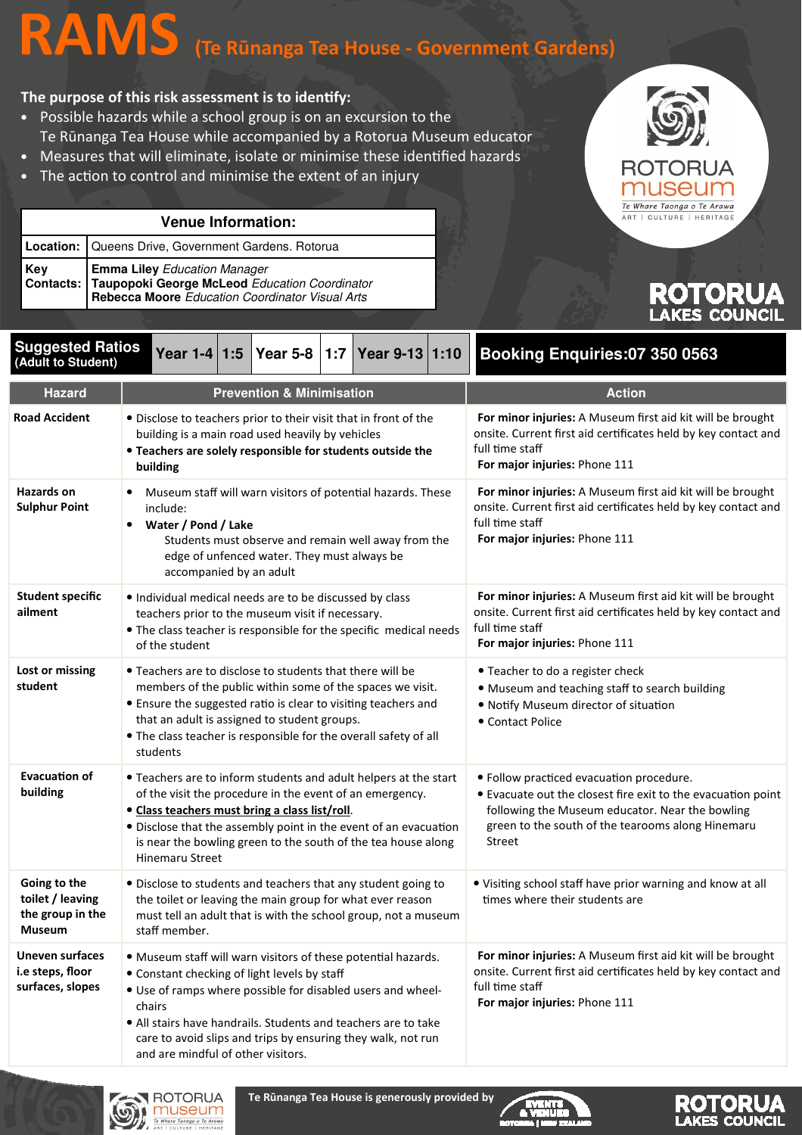# RAMS (Te Rūnanga Tea House - Government Gardens)

#### The purpose of this risk assessment is to identify:

- Possible hazards while a school group is on an excursion to the Te Rūnanga Tea House while accompanied by a Rotorua Museum educator
- Measures that will eliminate, isolate or minimise these identified hazards
- The action to control and minimise the extent of an injury

| <b>Venue Information:</b> |                                                                                                                   |  |
|---------------------------|-------------------------------------------------------------------------------------------------------------------|--|
|                           | Location: Queens Drive, Government Gardens. Rotorua                                                               |  |
|                           | Key<br>Contacts: Taupopoki George McLeod Education Coordinator<br>Rebecca Moore Education Coordinator Visual Arts |  |



## ROTORU **AKES COUNCIL**

**ROTORUA** 

| <b>Suggested Ratios</b><br>(Adult to Student)                  | Year 1-4 1:5<br>Year 5-8<br>Year 9-13 1:10<br> 1:7                                                                                                                                                                                                                                                                                                             | <b>Booking Enquiries:07 350 0563</b>                                                                                                                                                                                       |
|----------------------------------------------------------------|----------------------------------------------------------------------------------------------------------------------------------------------------------------------------------------------------------------------------------------------------------------------------------------------------------------------------------------------------------------|----------------------------------------------------------------------------------------------------------------------------------------------------------------------------------------------------------------------------|
| <b>Hazard</b>                                                  | <b>Prevention &amp; Minimisation</b>                                                                                                                                                                                                                                                                                                                           | <b>Action</b>                                                                                                                                                                                                              |
| <b>Road Accident</b>                                           | . Disclose to teachers prior to their visit that in front of the<br>building is a main road used heavily by vehicles<br>• Teachers are solely responsible for students outside the<br>building                                                                                                                                                                 | For minor injuries: A Museum first aid kit will be brought<br>onsite. Current first aid certificates held by key contact and<br>full time staff<br>For major injuries: Phone 111                                           |
| <b>Hazards on</b><br><b>Sulphur Point</b>                      | Museum staff will warn visitors of potential hazards. These<br>٠<br>include:<br>Water / Pond / Lake<br>٠<br>Students must observe and remain well away from the<br>edge of unfenced water. They must always be<br>accompanied by an adult                                                                                                                      | For minor injuries: A Museum first aid kit will be brought<br>onsite. Current first aid certificates held by key contact and<br>full time staff<br>For major injuries: Phone 111                                           |
| <b>Student specific</b><br>ailment                             | · Individual medical needs are to be discussed by class<br>teachers prior to the museum visit if necessary.<br>• The class teacher is responsible for the specific medical needs<br>of the student                                                                                                                                                             | For minor injuries: A Museum first aid kit will be brought<br>onsite. Current first aid certificates held by key contact and<br>full time staff<br>For major injuries: Phone 111                                           |
| Lost or missing<br>student                                     | • Teachers are to disclose to students that there will be<br>members of the public within some of the spaces we visit.<br>• Ensure the suggested ratio is clear to visiting teachers and<br>that an adult is assigned to student groups.<br>• The class teacher is responsible for the overall safety of all<br>students                                       | • Teacher to do a register check<br>. Museum and teaching staff to search building<br>. Notify Museum director of situation<br>• Contact Police                                                                            |
| <b>Evacuation of</b><br>building                               | • Teachers are to inform students and adult helpers at the start<br>of the visit the procedure in the event of an emergency.<br>• Class teachers must bring a class list/roll.<br>• Disclose that the assembly point in the event of an evacuation<br>is near the bowling green to the south of the tea house along<br><b>Hinemaru Street</b>                  | · Follow practiced evacuation procedure.<br>• Evacuate out the closest fire exit to the evacuation point<br>following the Museum educator. Near the bowling<br>green to the south of the tearooms along Hinemaru<br>Street |
| Going to the<br>toilet / leaving<br>the group in the<br>Museum | • Disclose to students and teachers that any student going to<br>the toilet or leaving the main group for what ever reason<br>must tell an adult that is with the school group, not a museum<br>staff member.                                                                                                                                                  | • Visiting school staff have prior warning and know at all<br>times where their students are                                                                                                                               |
| Uneven surfaces<br>i.e steps, floor<br>surfaces, slopes        | . Museum staff will warn visitors of these potential hazards.<br>• Constant checking of light levels by staff<br>. Use of ramps where possible for disabled users and wheel-<br>chairs<br>. All stairs have handrails. Students and teachers are to take<br>care to avoid slips and trips by ensuring they walk, not run<br>and are mindful of other visitors. | For minor injuries: A Museum first aid kit will be brought<br>onsite. Current first aid certificates held by key contact and<br>full time staff<br>For major injuries: Phone 111                                           |



Te Rūnanga Tea House is generously provided by